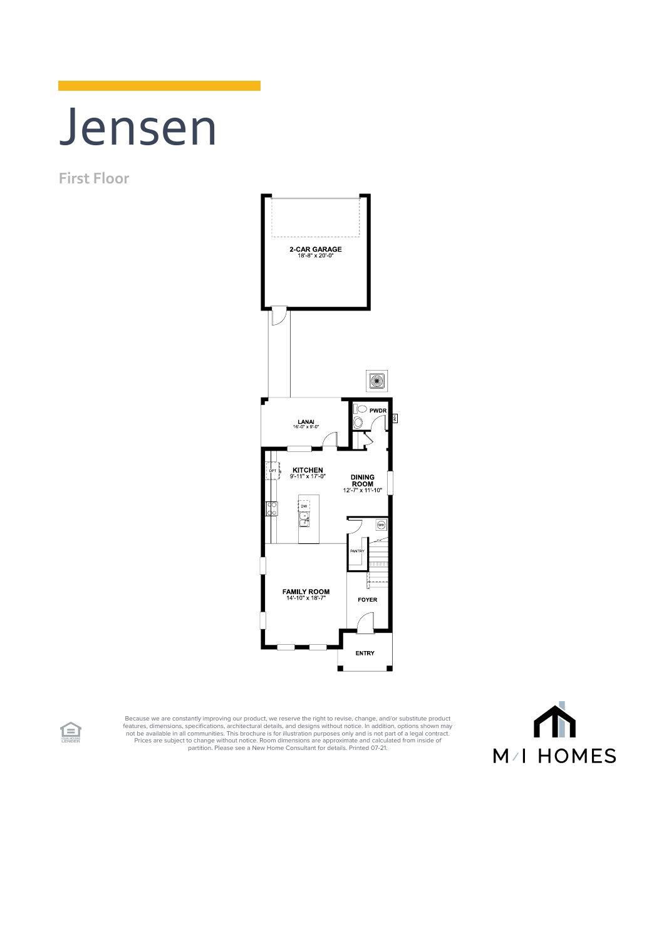## Jensen

**First Floor**



Because we are constantly improving our product, we reserve the right to revise, change, and/or substitute product<br>features, dimensions, pecifications, architectural details, and designs without notice. In addition, option



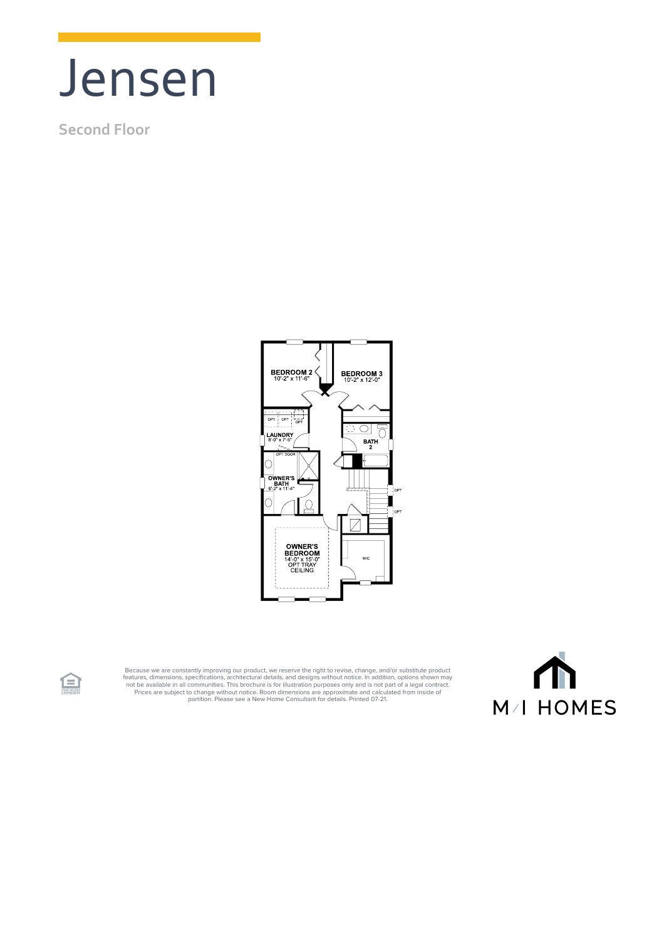

**Second Floor**



Because we are constantly improving our product, we reserve the right to revise, change, and/or substitute product<br>features, dimensions, specifications, architectural details, and designs without notice. In addition, optio